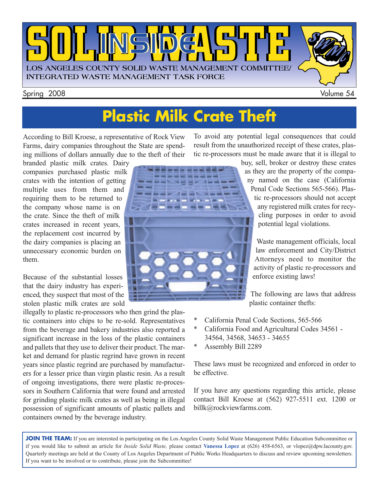

## **Plastic Milk Crate Theft**

According to Bill Kroese, a representative of Rock View Farms, dairy companies throughout the State are spending millions of dollars annually due to the theft of their

branded plastic milk crates. Dairy companies purchased plastic milk crates with the intention of getting multiple uses from them and requiring them to be returned to the company whose name is on the crate. Since the theft of milk crates increased in recent years, the replacement cost incurred by the dairy companies is placing an unnecessary economic burden on them.

Because of the substantial losses that the dairy industry has experienced, they suspect that most of the stolen plastic milk crates are sold

illegally to plastic re-processors who then grind the plastic containers into chips to be re-sold. Representatives from the beverage and bakery industries also reported a significant increase in the loss of the plastic containers and pallets that they use to deliver their product. The market and demand for plastic regrind have grown in recent years since plastic regrind are purchased by manufacturers for a lesser price than virgin plastic resin. As a result of ongoing investigations, there were plastic re-processors in Southern California that were found and arrested for grinding plastic milk crates as well as being in illegal possession of significant amounts of plastic pallets and containers owned by the beverage industry.

To avoid any potential legal consequences that could result from the unauthorized receipt of these crates, plastic re-processors must be made aware that it is illegal to



buy, sell, broker or destroy these crates as they are the property of the company named on the case (California Penal Code Sections 565-566). Plas-

tic re-processors should not accept any registered milk crates for recycling purposes in order to avoid potential legal violations.

Waste management officials, local law enforcement and City/District Attorneys need to monitor the activity of plastic re-processors and enforce existing laws!

The following are laws that address plastic container thefts:

- California Penal Code Sections, 565-566
- \* California Food and Agricultural Codes 34561 34564, 34568, 34653 - 34655
- Assembly Bill 2289

These laws must be recognized and enforced in order to be effective.

If you have any questions regarding this article, please contact Bill Kroese at (562) 927-5511 ext. 1200 or billk@rockviewfarms.com.

JOIN THE TEAM: If you are interested in participating on the Los Angeles County Solid Waste Management Public Education Subcommittee or if you would like to submit an article for *Inside Solid Waste,* please contact **Vanessa Lopez** [at \(626\) 458-6563, or vlopez@dpw.lacounty.gov.](mailto://vlopez@dpw.lacounty.gov) Quarterly meetings are held at the County of Los Angeles Department of Public Works Headquarters to discuss and review upcoming newsletters. If you want to be involved or to contribute, please join the Subcommittee!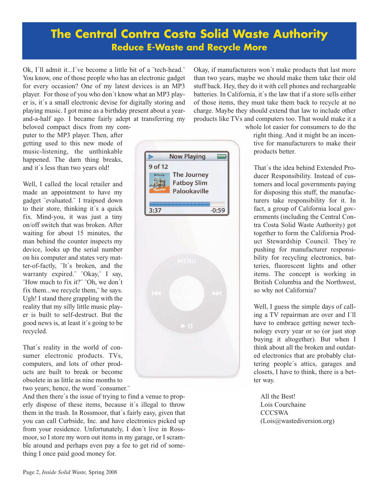#### **The Central Contra Costa Solid Waste Authority Reduce E-Waste and Recycle More**

Ok, I´ll admit it...I´ve become a little bit of a ¨tech-head.¨ You know, one of those people who has an electronic gadget for every occasion? One of my latest devices is an MP3 player. For those of you who don´t know what an MP3 player is, it´s a small electronic devise for digitally storing and playing music. I got mine as a birthday present about a yearand-a-half ago. I became fairly adept at transferring my

Okay, if manufacturers won´t make products that last more than two years, maybe we should make them take their old stuff back. Hey, they do it with cell phones and rechargeable batteries. In California, it´s the law that if a store sells either of those items, they must take them back to recycle at no charge. Maybe they should extend that law to include other products like TVs and computers too. That would make it a

beloved compact discs from my computer to the MP3 player. Then, after getting used to this new mode of music-listening, the unthinkable happened. The darn thing breaks, and it´s less than two years old!

Well, I called the local retailer and made an appointment to have my gadget ¨evaluated.¨ I traipsed down to their store, thinking it´s a quick fix. Mind-you, it was just a tiny on/off switch that was broken. After waiting for about 15 minutes, the man behind the counter inspects my device, looks up the serial number on his computer and states very matter-of-factly, ¨It´s broken, and the warranty expired.¨ ¨Okay,¨ I say, ¨How much to fix it?¨ ¨Oh, we don´t fix them...we recycle them,¨ he says. Ugh! I stand there grappling with the reality that my silly little music player is built to self-destruct. But the good news is, at least it´s going to be recycled.

That´s reality in the world of consumer electronic products. TVs, computers, and lots of other products are built to break or become obsolete in as little as nine months to two years; hence, the word ¨consumer.¨

And then there´s the issue of trying to find a venue to properly dispose of these items, because it´s illegal to throw them in the trash. In Rossmoor, that´s fairly easy, given that you can call Curbside, Inc. and have electronics picked up from your residence. Unfortunately, I don´t live in Rossmoor, so I store my worn out items in my garage, or I scramble around and perhaps even pay a fee to get rid of something I once paid good money for.



tra Costa Solid Waste Authority) got together to form the California Product Stewardship Council. They´re pushing for manufacturer responsibility for recycling electronics, batteries, fluorescent lights and other items. The concept is working in British Columbia and the Northwest,

> Well, I guess the simple days of calling a TV repairman are over and I´ll have to embrace getting newer technology every year or so (or just stop buying it altogether). But when I think about all the broken and outdated electronics that are probably cluttering people´s attics, garages and closets, I have to think, there is a better way.

so why not California?

All the Best! Lois Courchaine **CCCSWA** [\(Lois@wastediversion.org\)](mailto://Lois@wastediversion.org)

whole lot easier for consumers to do the right thing. And it might be an incen-

tive for manufacturers to make their products better.

That´s the idea behind Extended Producer Responsibility. Instead of customers and local governments paying for disposing this stuff, the manufacturers take responsibility for it. In fact, a group of California local governments (including the Central Con-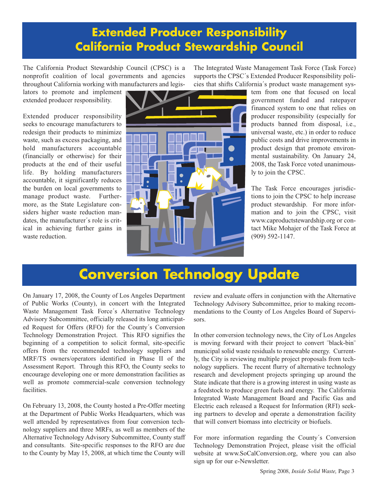### **Extended Producer Responsibility California Product Stewardship Council**

The California Product Stewardship Council (CPSC) is a nonprofit coalition of local governments and agencies throughout California working with manufacturers and legis-

lators to promote and implement extended producer responsibility.

Extended producer responsibility seeks to encourage manufacturers to redesign their products to minimize waste, such as excess packaging, and hold manufacturers accountable (financially or otherwise) for their products at the end of their useful life. By holding manufacturers accountable, it significantly reduces the burden on local governments to manage product waste. Furthermore, as the State Legislature considers higher waste reduction mandates, the manufacturer´s role is critical in achieving further gains in waste reduction.



The Integrated Waste Management Task Force (Task Force) supports the CPSC´s Extended Producer Responsibility policies that shifts California´s product waste management sys-

tem from one that focused on local government funded and ratepayer financed system to one that relies on producer responsibility (especially for products banned from disposal, i.e., universal waste, etc.) in order to reduce public costs and drive improvements in product design that promote environmental sustainability. On January 24, 2008, the Task Force voted unanimously to join the CPSC.

The Task Force encourages jurisdictions to join the CPSC to help increase product stewardship. For more information and to join the CPSC, visit [www.caproductstewardship.org](http://www.caproductstewardship.org/) or contact Mike Mohajer of the Task Force at (909) 592-1147.

## **Conversion Technology Update**

On January 17, 2008, the County of Los Angeles Department of Public Works (County), in concert with the Integrated Waste Management Task Force´s Alternative Technology Advisory Subcommittee, officially released its long anticipated Request for Offers (RFO) for the County´s Conversion Technology Demonstration Project. This RFO signifies the beginning of a competition to solicit formal, site-specific offers from the recommended technology suppliers and MRF/TS owners/operators identified in Phase II of the Assessment Report. Through this RFO, the County seeks to encourage developing one or more demonstration facilities as well as promote commercial-scale conversion technology facilities.

On February 13, 2008, the County hosted a Pre-Offer meeting at the Department of Public Works Headquarters, which was well attended by representatives from four conversion technology suppliers and three MRFs, as well as members of the Alternative Technology Advisory Subcommittee, County staff and consultants. Site-specific responses to the RFO are due to the County by May 15, 2008, at which time the County will review and evaluate offers in conjunction with the Alternative Technology Advisory Subcommittee, prior to making recommendations to the County of Los Angeles Board of Supervisors.

In other conversion technology news, the City of Los Angeles is moving forward with their project to convert ¨black-bin¨ municipal solid waste residuals to renewable energy. Currently, the City is reviewing multiple project proposals from technology suppliers. The recent flurry of alternative technology research and development projects springing up around the State indicate that there is a growing interest in using waste as a feedstock to produce green fuels and energy. The California Integrated Waste Management Board and Pacific Gas and Electric each released a Request for Information (RFI) seeking partners to develop and operate a demonstration facility that will convert biomass into electricity or biofuels.

For more information regarding the County´s Conversion Technology Demonstration Project, please visit the official website at [www.SoCalConversion.org,](http://www.socalconversion.org/) where you can also sign up for our e-Newsletter.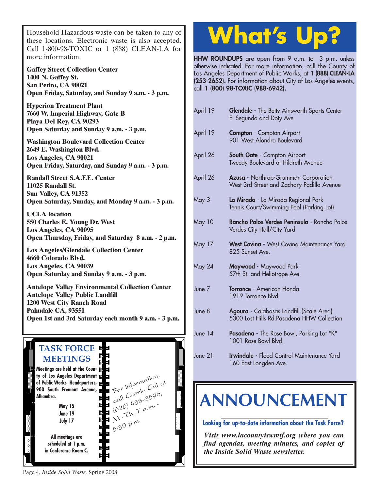Household Hazardous waste can be taken to any of these locations. Electronic waste is also accepted. Call 1-800-98-TOXIC or 1 (888) CLEAN-LA for more information.

**Gaffey Street Collection Center 1400 N. Gaffey St. San Pedro, CA 90021 Open Friday, Saturday, and Sunday 9 a.m. - 3 p.m.**

**Hyperion Treatment Plant 7660 W. Imperial Highway, Gate B Playa Del Rey, CA 90293 Open Saturday and Sunday 9 a.m. - 3 p.m.**

**Washington Boulevard Collection Center 2649 E. Washington Blvd. Los Angeles, CA 90021 Open Friday, Saturday, and Sunday 9 a.m. - 3 p.m.**

**Randall Street S.A.F.E. Center 11025 Randall St. Sun Valley, CA 91352 Open Saturday, Sunday, and Monday 9 a.m. - 3 p.m.**

**UCLA location 550 Charles E. Young Dr. West Los Angeles, CA 90095 [Open Thursday, Friday, and Saturday 8 a.m. - 2 p.m.](http://www.lacity.org/san/solid_resources/special/hhw/safe_centers/index.htm)**

**Los Angeles/Glendale Collection Center 4660 Colorado Blvd. Los Angeles, CA 90039 Open Saturday and Sunday 9 a.m. - 3 p.m.**

**Antelope Valley Environmental Collection Center Antelope Valley Public Landfill 1200 West City Ranch Road Palmdale CA, 93551 [Open 1st and 3rd Saturday each month 9 a.m. - 3 p.m.](http://ladpw.org/epd/avecc/index.cfm)**



## **What's Up?**

**HHW ROUNDUPS** are open from 9 a.m. to 3 p.m. unless otherwise indicated. For more information, call the County of Los Angeles Department of Public Works, at **1 (888) CLEAN-LA (253-2652).** For information about City of Los Angeles events, call **1 (800) 98-TOXIC (988-6942).**

| April 19          | Glendale - The Betty Ainsworth Sports Center<br>El Segundo and Doty Ave                 |
|-------------------|-----------------------------------------------------------------------------------------|
| April 19          | <b>Compton</b> - Compton Airport<br>901 West Alondra Boulevard                          |
| April 26          | South Gate - Compton Airport<br>Tweedy Boulevard at Hildreth Avenue                     |
| April 26          | Azusa - Northrop-Grumman Corporation<br>West 3rd Street and Zachary Padilla Avenue      |
| May 3             | La Mirada - La Mirada Regional Park<br>Tennis Court/Swimming Pool (Parking Lot)         |
| May 10            | Rancho Palos Verdes Peninsula - Rancho Palos<br>Verdes City Hall/City Yard              |
| May 17            | West Covina - West Covina Maintenance Yard<br>825 Sunset Ave.                           |
| May 24            | Maywood - Maywood Park<br>57th St. and Heliotrope Ave.                                  |
| June <sub>7</sub> | Torrance - American Honda<br>1919 Torrance Blvd.                                        |
| June 8            | Agoura - Calabasas Landfill (Scale Area)<br>5300 Lost Hills Rd. Pasadena HHW Collection |
| June $14$         | Pasadena - The Rose Bowl, Parking Lot "K"<br>1001 Rose Bowl Blvd.                       |
| June 21           | Irwindale - Flood Control Maintenance Yard<br>160 East Longden Ave.                     |

## **[ANNOUNCEMENT](http://ladpw.org/epd/tf/)**

**Looking for up-to-date information about the Task Force?**

*Visit www.lacountyiswmtf.org where you can find agendas, meeting minutes, and copies of the Inside Solid Waste newsletter.*

Page 4, *Inside Solid Waste,* Spring 2008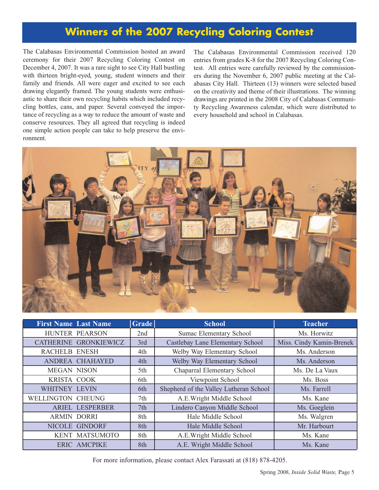#### **Winners of the 2007 Recycling Coloring Contest**

The Calabasas Environmental Commission hosted an award ceremony for their 2007 Recycling Coloring Contest on December 4, 2007. It was a rare sight to see City Hall bustling with thirteen bright-eyed, young, student winners and their family and friends. All were eager and excited to see each drawing elegantly framed. The young students were enthusiastic to share their own recycling habits which included recycling bottles, cans, and paper. Several conveyed the importance of recycling as a way to reduce the amount of waste and conserve resources. They all agreed that recycling is indeed one simple action people can take to help preserve the environment.

The Calabasas Environmental Commission received 120 entries from grades K-8 for the 2007 Recycling Coloring Contest. All entries were carefully reviewed by the commissioners during the November 6, 2007 public meeting at the Calabasas City Hall. Thirteen (13) winners were selected based on the creativity and theme of their illustrations. The winning drawings are printed in the 2008 City of Calabasas Community Recycling Awareness calendar, which were distributed to every household and school in Calabasas.



| <b>First Name Last Name</b> |                       | <b>Grade</b> | <b>School</b>                          | <b>Teacher</b>           |
|-----------------------------|-----------------------|--------------|----------------------------------------|--------------------------|
| HUNTER PEARSON              |                       | 2nd          | Sumac Elementary School                | Ms. Horwitz              |
|                             | CATHERINE GRONKIEWICZ | 3rd          | Castlebay Lane Elementary School       | Miss. Cindy Kamin-Brenek |
| <b>RACHELB ENESH</b>        |                       | 4th          | Welby Way Elementary School            | Ms. Anderson             |
|                             | ANDREA CHAHAYED       | 4th          | Welby Way Elementary School            | Ms. Anderson             |
| <b>MEGAN NISON</b>          |                       | 5th          | Chaparral Elementary School            | Ms. De La Vaux           |
| KRISTA COOK                 |                       | 6th          | Viewpoint School                       | Ms. Boss                 |
| WHITNEY LEVIN               |                       | 6th          | Shepherd of the Valley Lutheran School | Ms. Farrell              |
| <b>WELLINGTON CHEUNG</b>    |                       | 7th          | A.E.Wright Middle School               | Ms. Kane                 |
|                             | ARIEL LESPERBER       | 7th          | Lindero Canyon Middle School           | Ms. Goeglein             |
| <b>ARMIN DORRI</b>          |                       | 8th          | Hale Middle School                     | Ms. Walgren              |
| NICOLE GINDORF              |                       | 8th          | Hale Middle School                     | Mr. Harbourt             |
|                             | KENT MATSUMOTO        | 8th          | A.E.Wright Middle School               | Ms. Kane                 |
|                             | <b>ERIC AMCPIKE</b>   | 8th          | A.E. Wright Middle School              | Ms. Kane                 |

For more information, please contact Alex Farassati at (818) 878-4205.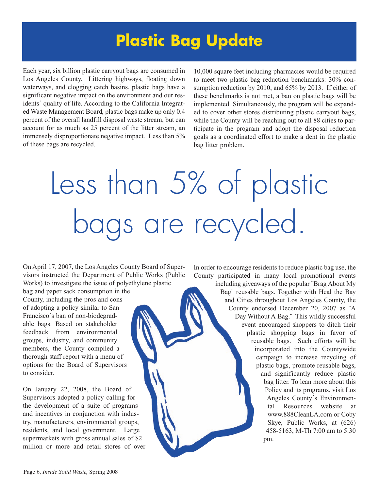## **Plastic Bag Update**

Each year, six billion plastic carryout bags are consumed in Los Angeles County. Littering highways, floating down waterways, and clogging catch basins, plastic bags have a significant negative impact on the environment and our residents´ quality of life. According to the California Integrated Waste Management Board, plastic bags make up only 0.4 percent of the overall landfill disposal waste stream, but can account for as much as 25 percent of the litter stream, an immensely disproportionate negative impact. Less than 5% of these bags are recycled.

10,000 square feet including pharmacies would be required to meet two plastic bag reduction benchmarks: 30% consumption reduction by 2010, and 65% by 2013. If either of these benchmarks is not met, a ban on plastic bags will be implemented. Simultaneously, the program will be expanded to cover other stores distributing plastic carryout bags, while the County will be reaching out to all 88 cities to participate in the program and adopt the disposal reduction goals as a coordinated effort to make a dent in the plastic bag litter problem.

# Less than 5% of plastic bags are recycled.

On April 17, 2007, the Los Angeles County Board of Supervisors instructed the Department of Public Works (Public Works) to investigate the issue of polyethylene plastic

bag and paper sack consumption in the County, including the pros and cons of adopting a policy similar to San Francisco´s ban of non-biodegradable bags. Based on stakeholder feedback from environmental groups, industry, and community members, the County compiled a thorough staff report with a menu of options for the Board of Supervisors to consider.

On January 22, 2008, the Board of Supervisors adopted a policy calling for the development of a suite of programs and incentives in conjunction with industry, manufacturers, environmental groups, residents, and local government. Large supermarkets with gross annual sales of \$2 million or more and retail stores of over In order to encourage residents to reduce plastic bag use, the County participated in many local promotional events

including giveaways of the popular ¨Brag About My Bag¨ reusable bags. Together with [Heal the Bay](http://www.healthebay.org/) and Cities throughout Los Angeles County, the County endorsed December 20, 2007 as ¨A Day Without A Bag.¨ This wildly successful event encouraged shoppers to ditch their plastic shopping bags in favor of reusable bags. Such efforts will be incorporated into the Countywide campaign to increase recycling of plastic bags, promote reusable bags, and significantly reduce plastic bag litter. To lean more about this Policy and its programs, visit Los Angeles County´s Environmental Resources website at [www.888CleanLA.com o](http://ladpw.org/epd/)r Coby Skye, Public Works, at (626) 458-5163, M-Th 7:00 am to 5:30 pm.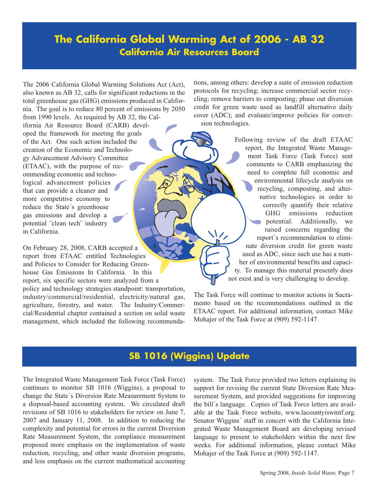#### **The California Global Warming Act of 2006 - AB 32 California Air Resources Board**

The 2006 California Global Warming Solutions Act (Act), also known as AB 32, calls for significant reductions in the total greenhouse gas (GHG) emissions produced in California. The goal is to reduce 80 percent of emissions by 2050 from 1990 levels. As required by AB 32, the California Air Resource Board (CARB) developed the framework for meeting the goals of the Act. One such action included the creation of the Economic and Technology Advancement Advisory Committee (ETAAC), with the purpose of recommending economic and technological advancement policies that can provide a cleaner and more competitive economy to reduce the State´s greenhouse gas emissions and develop a potential ¨clean tech¨ industry in California.

On February 28, 2008, CARB accepted a report from ETAAC entitled Technologies and Policies to Consider for Reducing Greenhouse Gas Emissions In California. In this report, six specific sectors were analyzed from a policy and technology strategies standpoint: transportation, industry/commercial/residential, electricity/natural gas, agriculture, forestry, and water. The Industry/Commercial/Residential chapter contained a section on solid waste management, which included the following recommendations, among others: develop a suite of emission reduction protocols for recycling; increase commercial sector recycling; remove barriers to composting; phase out diversion credit for green waste used as landfill alternative daily cover (ADC); and evaluate/improve policies for conversion technologies.

> Following review of the draft ETAAC report, the Integrated Waste Management Task Force (Task Force) sent comments to CARB emphasizing the need to complete full economic and environmental lifecycle analysis on recycling, composting, and alternative technologies in order to correctly quantify their relative GHG emissions reduction potential. Additionally, we raised concerns regarding the report´s recommendation to eliminate diversion credit for green waste used as ADC, since such use has a number of environmental benefits and capacity. To manage this material presently does not exist and is very challenging to develop.

The Task Force will continue to monitor actions in Sacramento based on the recommendations outlined in the ETAAC report. For additional information, contact Mike Mohajer of the Task Force at (909) 592-1147.

#### **SB 1016 (Wiggins) Update**

The Integrated Waste Management Task Force (Task Force) continues to monitor SB 1016 (Wiggins), a proposal to change the State´s Diversion Rate Measurement System to a disposal-based accounting system. We circulated draft revisions of SB 1016 to stakeholders for review on June 7, 2007 and January 11, 2008. In addition to reducing the complexity and potential for errors in the current Diversion Rate Measurement System, the compliance measurement proposed more emphasis on the implementation of waste reduction, recycling, and other waste diversion programs, and less emphasis on the current mathematical accounting system. The Task Force provided two letters explaining its support for revising the current State Diversion Rate Measurement System, and provided suggestions for improving the bill´s language. Copies of Task Force letters are available at the Task Force website, www.lacountyiswmtf.org. Senator Wiggins´ staff in concert with the California Integrated Waste Management Board are developing revised language to present to stakeholders within the next few weeks. For additional information, please contact Mike Mohajer of the Task Force at (909) 592-1147.